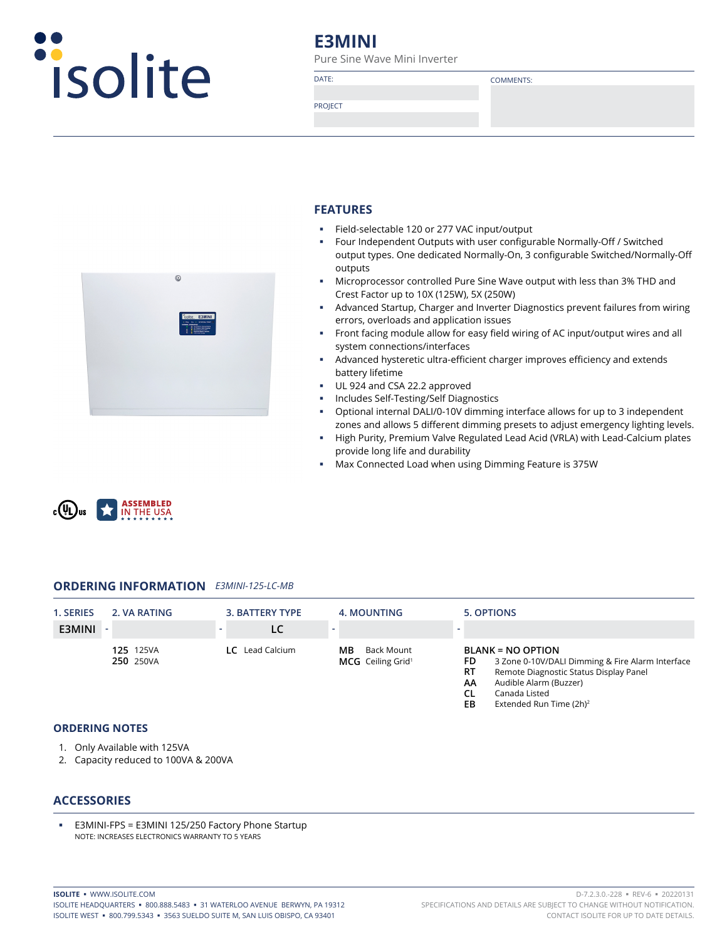

# **E3MINI**

Pure Sine Wave Mini Inverter

DATE: COMMENTS:

PROJECT



#### **FEATURES**

- Field-selectable 120 or 277 VAC input/output
- Four Independent Outputs with user configurable Normally-Off / Switched output types. One dedicated Normally-On, 3 configurable Switched/Normally-Off outputs
- Microprocessor controlled Pure Sine Wave output with less than 3% THD and Crest Factor up to 10X (125W), 5X (250W)
- Advanced Startup, Charger and Inverter Diagnostics prevent failures from wiring errors, overloads and application issues
- Front facing module allow for easy field wiring of AC input/output wires and all system connections/interfaces
- Advanced hysteretic ultra-efficient charger improves efficiency and extends battery lifetime
- UL 924 and CSA 22.2 approved
- Includes Self-Testing/Self Diagnostics
- Optional internal DALI/0-10V dimming interface allows for up to 3 independent zones and allows 5 different dimming presets to adjust emergency lighting levels.
- High Purity, Premium Valve Regulated Lead Acid (VRLA) with Lead-Calcium plates provide long life and durability
- Max Connected Load when using Dimming Feature is 375W



#### **ORDERING INFORMATION** *E3MINI-125-LC-MB*

| 1. SERIES | 2. VA RATING                  | 3. BATTERY TYPE        | 4. MOUNTING                                       | 5. OPTIONS                                                                                                                                                         |
|-----------|-------------------------------|------------------------|---------------------------------------------------|--------------------------------------------------------------------------------------------------------------------------------------------------------------------|
| E3MINI    |                               |                        |                                                   |                                                                                                                                                                    |
|           | <b>125</b> 125VA<br>250 250VA | <b>LC</b> Lead Calcium | Back Mount<br>ΜВ<br>MCG Ceiling Grid <sup>1</sup> | <b>BLANK = NO OPTION</b><br>3 Zone 0-10V/DALI Dimming & Fire Alarm Interface<br>FD<br>Remote Diagnostic Status Display Panel<br>RT<br>Audible Alarm (Buzzer)<br>AA |

- **CL** Canada Listed<br>**FR** Extended Run
- **Extended Run Time (2h)<sup>2</sup>**

#### **ORDERING NOTES**

- 1. Only Available with 125VA
- 2. Capacity reduced to 100VA & 200VA

#### **ACCESSORIES**

 E3MINI-FPS = E3MINI 125/250 Factory Phone Startup NOTE: INCREASES ELECTRONICS WARRANTY TO 5 YEARS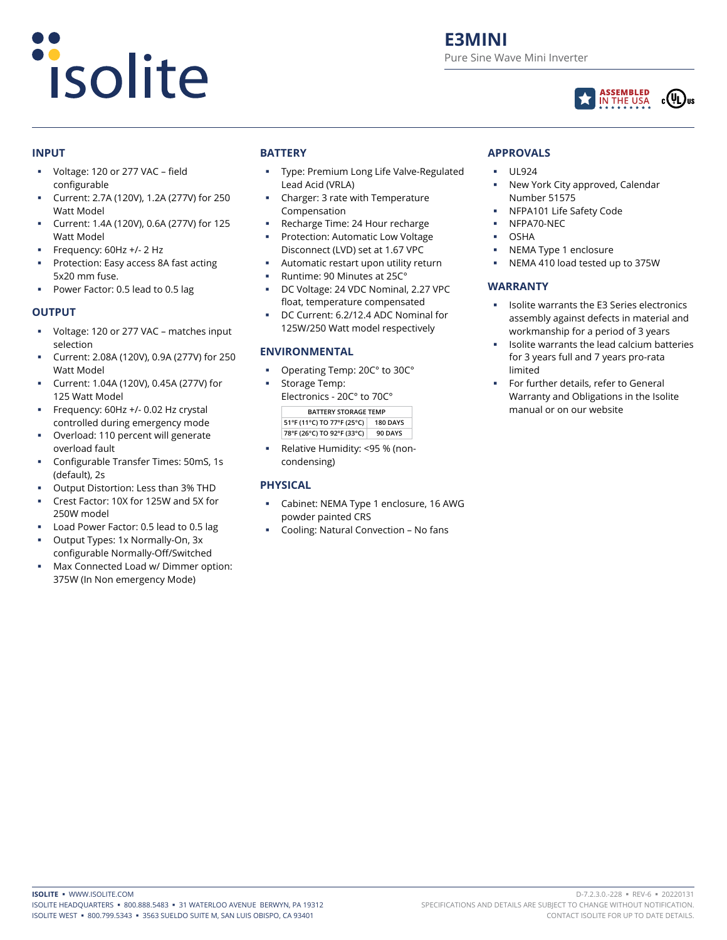# *isolite*

# **E3MINI** Pure Sine Wave Mini Inverter



#### **INPUT**

- Voltage: 120 or 277 VAC field configurable
- Current: 2.7A (120V), 1.2A (277V) for 250 Watt Model
- Current: 1.4A (120V), 0.6A (277V) for 125 Watt Model
- Frequency: 60Hz +/- 2 Hz
- Protection: Easy access 8A fast acting 5x20 mm fuse.
- Power Factor: 0.5 lead to 0.5 lag

#### **OUTPUT**

- Voltage: 120 or 277 VAC matches input selection
- Current: 2.08A (120V), 0.9A (277V) for 250 Watt Model
- Current: 1.04A (120V), 0.45A (277V) for 125 Watt Model
- Frequency: 60Hz +/- 0.02 Hz crystal controlled during emergency mode
- Overload: 110 percent will generate overload fault
- Configurable Transfer Times: 50mS, 1s (default), 2s
- Output Distortion: Less than 3% THD
- Crest Factor: 10X for 125W and 5X for 250W model
- Load Power Factor: 0.5 lead to 0.5 lag
- Output Types: 1x Normally-On, 3x configurable Normally-Off/Switched
- Max Connected Load w/ Dimmer option: 375W (In Non emergency Mode)

# **BATTERY**

- Type: Premium Long Life Valve-Regulated Lead Acid (VRLA)
- Charger: 3 rate with Temperature Compensation
- Recharge Time: 24 Hour recharge Protection: Automatic Low Voltage
- Disconnect (LVD) set at 1.67 VPC Automatic restart upon utility return
- Runtime: 90 Minutes at 25C°
- DC Voltage: 24 VDC Nominal, 2.27 VPC
- float, temperature compensated
- DC Current: 6.2/12.4 ADC Nominal for 125W/250 Watt model respectively

#### **ENVIRONMENTAL**

- Operating Temp: 20C° to 30C°
- Storage Temp:
- Electronics 20C° to 70C° **BATTERY STORAGE TEMP 51°F (11°C) TO 77°F (25°C) 180 DAYS 78°F (26°C) TO 92°F (33°C) 90 DAYS**
- Relative Humidity: <95 % (noncondensing)

### **PHYSICAL**

- Cabinet: NEMA Type 1 enclosure, 16 AWG powder painted CRS
- Cooling: Natural Convection No fans

## **APPROVALS**

- UL924
- New York City approved, Calendar Number 51575
- NFPA101 Life Safety Code
- NFPA70-NEC
- OSHA
- NEMA Type 1 enclosure
- NEMA 410 load tested up to 375W

# **WARRANTY**

- Isolite warrants the E3 Series electronics assembly against defects in material and workmanship for a period of 3 years
- Isolite warrants the lead calcium batteries for 3 years full and 7 years pro-rata limited
- For further details, refer to General Warranty and Obligations in the Isolite manual or on our website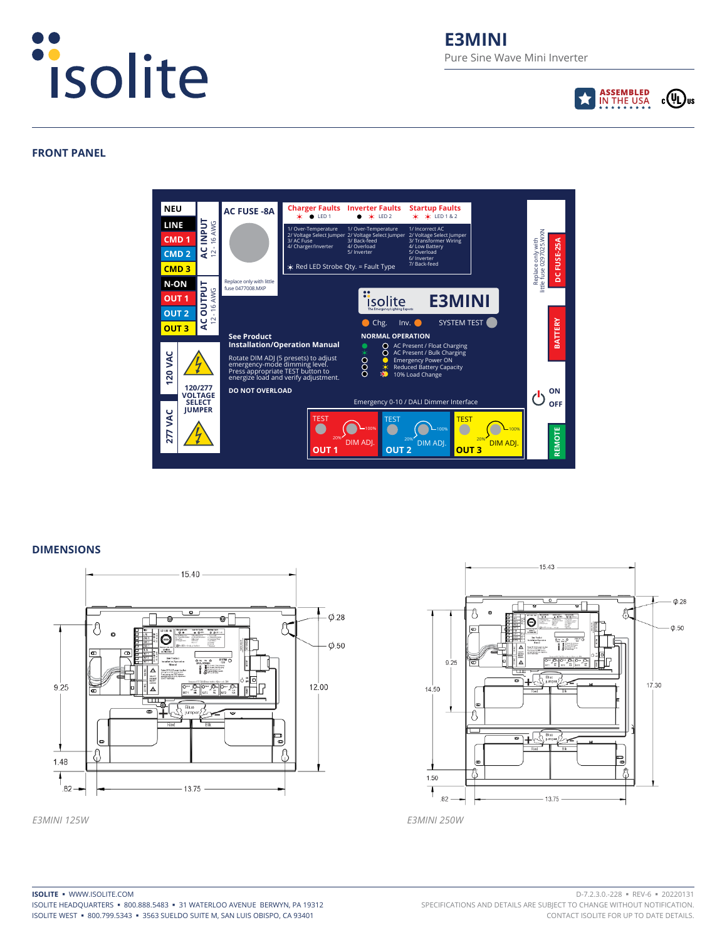

# **E3MINI** Pure Sine Wave Mini Inverter



#### **FRONT PANEL**



#### **DIMENSIONS**



*E3MINI 125W E3MINI 250W*

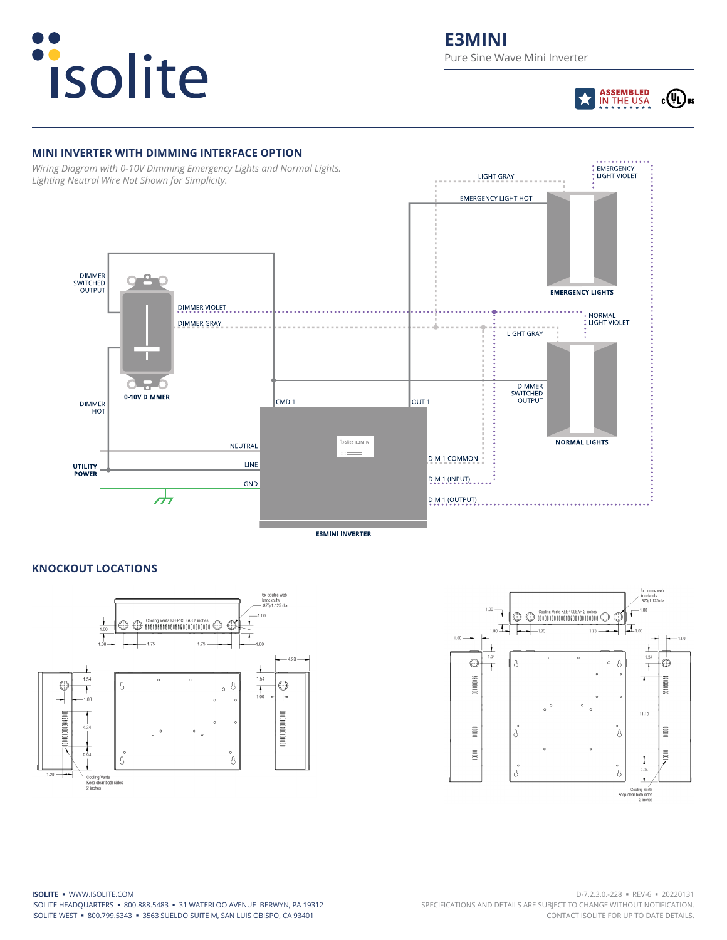



#### **MINI INVERTER WITH DIMMING INTERFACE OPTION**

*Wiring Diagram with 0-10V Dimming Emergency Lights and Normal Lights. Lighting Neutral Wire Not Shown for Simplicity.*



**E3MINI INVERTER** 

#### **KNOCKOUT LOCATIONS**